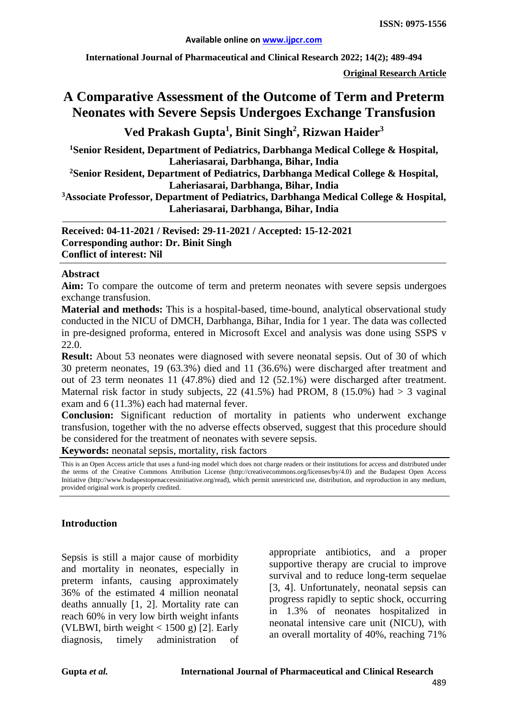**International Journal of Pharmaceutical and Clinical Research 2022; 14(2); 489-494**

**Original Research Article**

# **A Comparative Assessment of the Outcome of Term and Preterm Neonates with Severe Sepsis Undergoes Exchange Transfusion**

# **Ved Prakash Gupta<sup>1</sup> , Binit Singh2 , Rizwan Haider3**

**1 Senior Resident, Department of Pediatrics, Darbhanga Medical College & Hospital, Laheriasarai, Darbhanga, Bihar, India**

**2 Senior Resident, Department of Pediatrics, Darbhanga Medical College & Hospital, Laheriasarai, Darbhanga, Bihar, India**

**3 Associate Professor, Department of Pediatrics, Darbhanga Medical College & Hospital, Laheriasarai, Darbhanga, Bihar, India**

**Received: 04-11-2021 / Revised: 29-11-2021 / Accepted: 15-12-2021 Corresponding author: Dr. Binit Singh Conflict of interest: Nil**

#### **Abstract**

**Aim:** To compare the outcome of term and preterm neonates with severe sepsis undergoes exchange transfusion.

**Material and methods:** This is a hospital-based, time-bound, analytical observational study conducted in the NICU of DMCH, Darbhanga, Bihar, India for 1 year. The data was collected in pre-designed proforma, entered in Microsoft Excel and analysis was done using SSPS v 22.0.

**Result:** About 53 neonates were diagnosed with severe neonatal sepsis. Out of 30 of which 30 preterm neonates, 19 (63.3%) died and 11 (36.6%) were discharged after treatment and out of 23 term neonates 11 (47.8%) died and 12 (52.1%) were discharged after treatment. Maternal risk factor in study subjects, 22  $(41.5\%)$  had PROM, 8  $(15.0\%)$  had  $> 3$  vaginal exam and 6 (11.3%) each had maternal fever.

**Conclusion:** Significant reduction of mortality in patients who underwent exchange transfusion, together with the no adverse effects observed, suggest that this procedure should be considered for the treatment of neonates with severe sepsis.

**Keywords:** neonatal sepsis, mortality, risk factors

This is an Open Access article that uses a fund-ing model which does not charge readers or their institutions for access and distributed under the terms of the Creative Commons Attribution License (http://creativecommons.org/licenses/by/4.0) and the Budapest Open Access Initiative (http://www.budapestopenaccessinitiative.org/read), which permit unrestricted use, distribution, and reproduction in any medium, provided original work is properly credited.

### **Introduction**

Sepsis is still a major cause of morbidity and mortality in neonates, especially in preterm infants, causing approximately 36% of the estimated 4 million neonatal deaths annually [1, 2]. Mortality rate can reach 60% in very low birth weight infants (VLBWI, birth weight  $<$  1500 g) [2]. Early diagnosis, timely administration of appropriate antibiotics, and a proper supportive therapy are crucial to improve survival and to reduce long-term sequelae [3, 4]. Unfortunately, neonatal sepsis can progress rapidly to septic shock, occurring in 1.3% of neonates hospitalized in neonatal intensive care unit (NICU), with an overall mortality of 40%, reaching 71%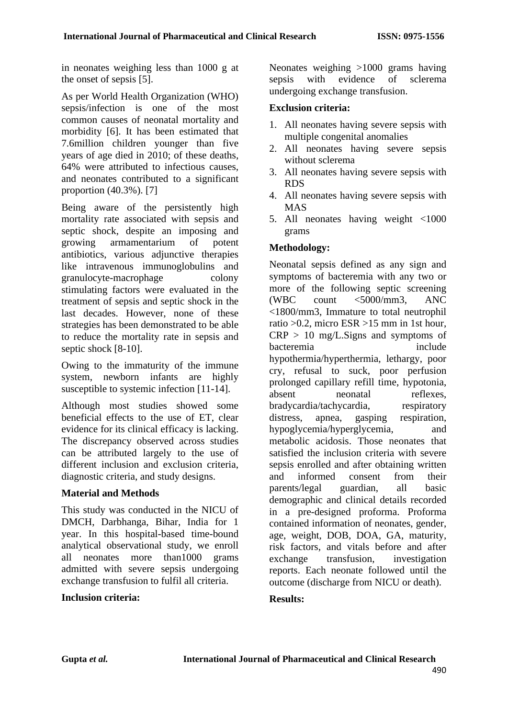in neonates weighing less than 1000 g at the onset of sepsis [5].

As per World Health Organization (WHO) sepsis/infection is one of the most common causes of neonatal mortality and morbidity [6]. It has been estimated that 7.6million children younger than five years of age died in 2010; of these deaths, 64% were attributed to infectious causes, and neonates contributed to a significant proportion (40.3%). [7]

Being aware of the persistently high mortality rate associated with sepsis and septic shock, despite an imposing and growing armamentarium of potent antibiotics, various adjunctive therapies like intravenous immunoglobulins and granulocyte-macrophage colony stimulating factors were evaluated in the treatment of sepsis and septic shock in the last decades. However, none of these strategies has been demonstrated to be able to reduce the mortality rate in sepsis and septic shock [8-10].

Owing to the immaturity of the immune system, newborn infants are highly susceptible to systemic infection [11-14].

Although most studies showed some beneficial effects to the use of ET, clear evidence for its clinical efficacy is lacking. The discrepancy observed across studies can be attributed largely to the use of different inclusion and exclusion criteria, diagnostic criteria, and study designs.

### **Material and Methods**

This study was conducted in the NICU of DMCH, Darbhanga, Bihar, India for 1 year. In this hospital-based time-bound analytical observational study, we enroll all neonates more than1000 grams admitted with severe sepsis undergoing exchange transfusion to fulfil all criteria.

#### **Inclusion criteria:**

Neonates weighing >1000 grams having sepsis with evidence of sclerema undergoing exchange transfusion.

#### **Exclusion criteria:**

- 1. All neonates having severe sepsis with multiple congenital anomalies
- 2. All neonates having severe sepsis without sclerema
- 3. All neonates having severe sepsis with RDS
- 4. All neonates having severe sepsis with MAS
- 5. All neonates having weight <1000 grams

### **Methodology:**

Neonatal sepsis defined as any sign and symptoms of bacteremia with any two or more of the following septic screening (WBC count <5000/mm3, ANC <1800/mm3, Immature to total neutrophil ratio >0.2, micro ESR >15 mm in 1st hour,  $CRP > 10$  mg/L. Signs and symptoms of bacteremia include hypothermia/hyperthermia, lethargy, poor cry, refusal to suck, poor perfusion prolonged capillary refill time, hypotonia, absent neonatal reflexes, bradycardia/tachycardia, respiratory distress, apnea, gasping respiration, hypoglycemia/hyperglycemia, and metabolic acidosis. Those neonates that satisfied the inclusion criteria with severe sepsis enrolled and after obtaining written and informed consent from their parents/legal guardian, all basic demographic and clinical details recorded in a pre-designed proforma. Proforma contained information of neonates, gender, age, weight, DOB, DOA, GA, maturity, risk factors, and vitals before and after exchange transfusion, investigation reports. Each neonate followed until the outcome (discharge from NICU or death).

### **Results:**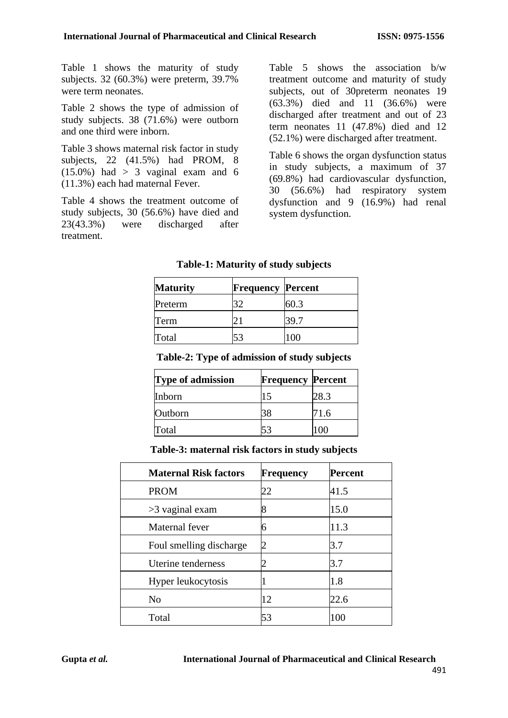Table 1 shows the maturity of study subjects. 32 (60.3%) were preterm, 39.7% were term neonates.

Table 2 shows the type of admission of study subjects. 38 (71.6%) were outborn and one third were inborn.

Table 3 shows maternal risk factor in study subjects, 22 (41.5%) had PROM, 8  $(15.0\%)$  had  $> 3$  vaginal exam and 6 (11.3%) each had maternal Fever.

Table 4 shows the treatment outcome of study subjects, 30 (56.6%) have died and 23(43.3%) were discharged after treatment.

Table 5 shows the association b/w treatment outcome and maturity of study subjects, out of 30preterm neonates 19 (63.3%) died and 11 (36.6%) were discharged after treatment and out of 23 term neonates 11 (47.8%) died and 12 (52.1%) were discharged after treatment.

Table 6 shows the organ dysfunction status in study subjects, a maximum of 37 (69.8%) had cardiovascular dysfunction, 30 (56.6%) had respiratory system dysfunction and 9 (16.9%) had renal system dysfunction.

| <b>Maturity</b> | <b>Frequency Percent</b> |      |
|-----------------|--------------------------|------|
| Preterm         | 32                       | 60.3 |
| Term            | 21                       | 39.7 |
| Total           | 53                       | 100  |

### **Table-1: Maturity of study subjects**

| <b>Type of admission</b> | <b>Frequency Percent</b> |      |
|--------------------------|--------------------------|------|
| Inborn                   | 15                       | 28.3 |
| Outborn                  | 38                       | 71.6 |
| Total                    |                          |      |

#### **Table-3: maternal risk factors in study subjects**

| <b>Maternal Risk factors</b> | Frequency | <b>Percent</b> |
|------------------------------|-----------|----------------|
| <b>PROM</b>                  | 22        | 41.5           |
| $>3$ vaginal exam            | 8         | 15.0           |
| Maternal fever               | h         | 11.3           |
| Foul smelling discharge      |           | 3.7            |
| Uterine tenderness           |           | 3.7            |
| Hyper leukocytosis           |           | 1.8            |
| N <sub>0</sub>               | 12        | 22.6           |
| Total                        | 53        | 100            |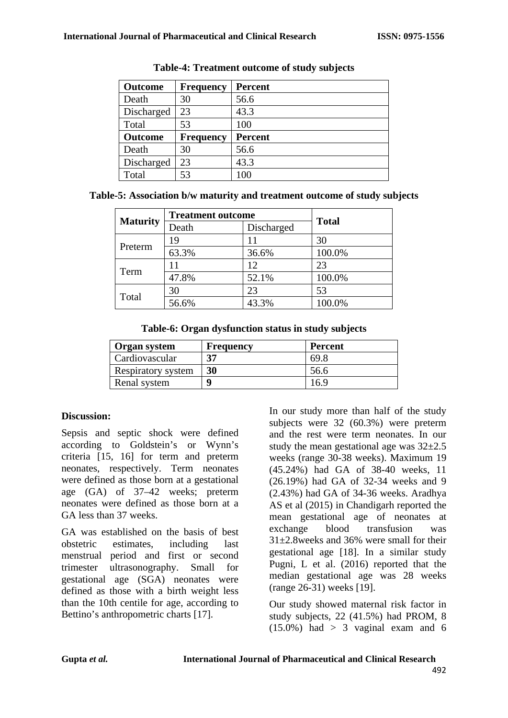| <b>Outcome</b> | <b>Frequency</b> | <b>Percent</b> |
|----------------|------------------|----------------|
| Death          | 30               | 56.6           |
| Discharged     | 23               | 43.3           |
| Total          | 53               | 100            |
| <b>Outcome</b> | <b>Frequency</b> | <b>Percent</b> |
| Death          | 30               | 56.6           |
| Discharged     | 23               | 43.3           |
| Total          | 53               | 100            |

|  | Table-5: Association b/w maturity and treatment outcome of study subjects |  |  |
|--|---------------------------------------------------------------------------|--|--|
|  |                                                                           |  |  |

| <b>Maturity</b> | <b>Treatment outcome</b> |            | <b>Total</b> |  |
|-----------------|--------------------------|------------|--------------|--|
|                 | Death                    | Discharged |              |  |
|                 | 19                       |            | 30           |  |
| Preterm         | 63.3%                    | 36.6%      | 100.0%       |  |
| Term            | 11                       | 12         | 23           |  |
|                 | 47.8%                    | 52.1%      | 100.0%       |  |
| Total           | 30                       | 23         | 53           |  |
|                 | 56.6%                    | 43.3%      | 100.0%       |  |

**Table-6: Organ dysfunction status in study subjects**

| Organ system              | Frequency | <b>Percent</b> |
|---------------------------|-----------|----------------|
| Cardiovascular            | 37        | 69.X           |
| <b>Respiratory system</b> | 30        | 56.6           |
| Renal system              |           | 6.5            |

### **Discussion:**

Sepsis and septic shock were defined according to Goldstein's or Wynn's criteria [15, 16] for term and preterm neonates, respectively. Term neonates were defined as those born at a gestational age (GA) of 37–42 weeks; preterm neonates were defined as those born at a GA less than 37 weeks.

GA was established on the basis of best obstetric estimates, including last menstrual period and first or second trimester ultrasonography. Small for gestational age (SGA) neonates were defined as those with a birth weight less than the 10th centile for age, according to Bettino's anthropometric charts [17].

In our study more than half of the study subjects were 32 (60.3%) were preterm and the rest were term neonates. In our study the mean gestational age was  $32\pm2.5$ weeks (range 30-38 weeks). Maximum 19 (45.24%) had GA of 38-40 weeks, 11 (26.19%) had GA of 32-34 weeks and 9 (2.43%) had GA of 34-36 weeks. Aradhya AS et al (2015) in Chandigarh reported the mean gestational age of neonates at exchange blood transfusion was 31±2.8weeks and 36% were small for their gestational age [18]. In a similar study Pugni, L et al. (2016) reported that the median gestational age was 28 weeks (range 26-31) weeks [19].

Our study showed maternal risk factor in study subjects, 22 (41.5%) had PROM, 8  $(15.0\%)$  had > 3 vaginal exam and 6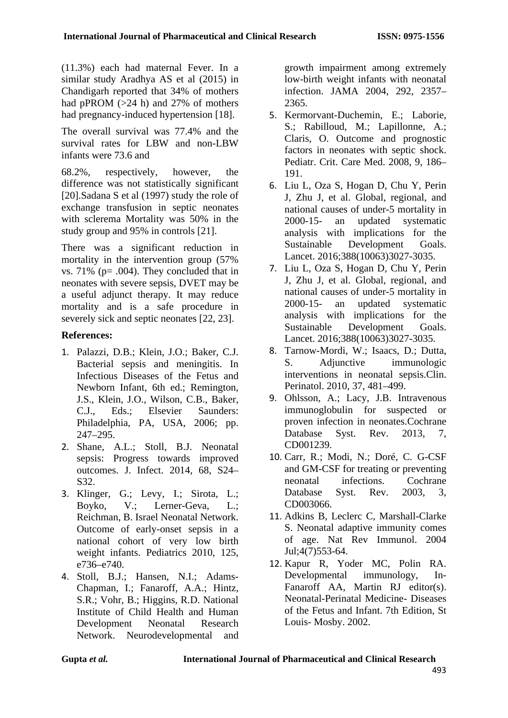(11.3%) each had maternal Fever. In a similar study Aradhya AS et al (2015) in Chandigarh reported that 34% of mothers had pPROM (>24 h) and 27% of mothers had pregnancy-induced hypertension [18].

The overall survival was 77.4% and the survival rates for LBW and non-LBW infants were 73.6 and

68.2%, respectively, however, the difference was not statistically significant [20].Sadana S et al (1997) study the role of exchange transfusion in septic neonates with sclerema Mortality was 50% in the study group and 95% in controls [21].

There was a significant reduction in mortality in the intervention group (57% vs.  $71\%$  (p= .004). They concluded that in neonates with severe sepsis, DVET may be a useful adjunct therapy. It may reduce mortality and is a safe procedure in severely sick and septic neonates [22, 23].

## **References:**

- 1. Palazzi, D.B.; Klein, J.O.; Baker, C.J. Bacterial sepsis and meningitis. In Infectious Diseases of the Fetus and Newborn Infant, 6th ed.; Remington, J.S., Klein, J.O., Wilson, C.B., Baker, C.J., Eds.; Elsevier Saunders: Philadelphia, PA, USA, 2006; pp. 247–295.
- 2. Shane, A.L.; Stoll, B.J. Neonatal sepsis: Progress towards improved outcomes. J. Infect. 2014, 68, S24– S32.
- 3. Klinger, G.; Levy, I.; Sirota, L.; Boyko, V.; Lerner-Geva, L.; Reichman, B. Israel Neonatal Network. Outcome of early-onset sepsis in a national cohort of very low birth weight infants. Pediatrics 2010, 125, e736–e740.
- 4. Stoll, B.J.; Hansen, N.I.; Adams-Chapman, I.; Fanaroff, A.A.; Hintz, S.R.; Vohr, B.; Higgins, R.D. National Institute of Child Health and Human Development Neonatal Research Network. Neurodevelopmental and

growth impairment among extremely low-birth weight infants with neonatal infection. JAMA 2004, 292, 2357– 2365.

- 5. Kermorvant-Duchemin, E.; Laborie, S.; Rabilloud, M.; Lapillonne, A.; Claris, O. Outcome and prognostic factors in neonates with septic shock. Pediatr. Crit. Care Med. 2008, 9, 186– 191.
- 6. Liu L, Oza S, Hogan D, Chu Y, Perin J, Zhu J, et al. Global, regional, and national causes of under-5 mortality in 2000-15- an updated systematic analysis with implications for the Sustainable Development Goals. Lancet. 2016;388(10063)3027-3035.
- 7. Liu L, Oza S, Hogan D, Chu Y, Perin J, Zhu J, et al. Global, regional, and national causes of under-5 mortality in 2000-15- an updated systematic analysis with implications for the Sustainable Development Goals. Lancet. 2016;388(10063)3027-3035.
- 8. Tarnow-Mordi, W.; Isaacs, D.; Dutta, S. Adjunctive immunologic interventions in neonatal sepsis.Clin. Perinatol. 2010, 37, 481–499.
- 9. Ohlsson, A.; Lacy, J.B. Intravenous immunoglobulin for suspected or proven infection in neonates.Cochrane Database Syst. Rev. 2013, 7, CD001239.
- 10. Carr, R.; Modi, N.; Doré, C. G-CSF and GM-CSF for treating or preventing neonatal infections. Cochrane Database Syst. Rev. 2003, 3, CD003066.
- 11. Adkins B, Leclerc C, Marshall-Clarke S. Neonatal adaptive immunity comes of age. Nat Rev Immunol. 2004 Jul;4(7)553-64.
- 12. Kapur R, Yoder MC, Polin RA. Developmental immunology, In-Fanaroff AA, Martin RJ editor(s). Neonatal-Perinatal Medicine- Diseases of the Fetus and Infant. 7th Edition, St Louis- Mosby. 2002.